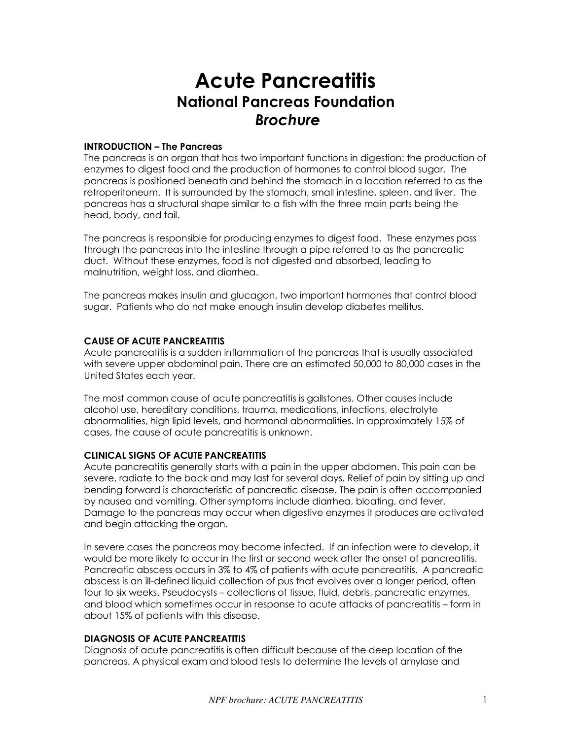# **Acute Pancreatitis National Pancreas Foundation**   *Brochure*

### **INTRODUCTION – The Pancreas**

The pancreas is an organ that has two important functions in digestion: the production of enzymes to digest food and the production of hormones to control blood sugar. The pancreas is positioned beneath and behind the stomach in a location referred to as the retroperitoneum. It is surrounded by the stomach, small intestine, spleen, and liver. The pancreas has a structural shape similar to a fish with the three main parts being the head, body, and tail.

The pancreas is responsible for producing enzymes to digest food. These enzymes pass through the pancreas into the intestine through a pipe referred to as the pancreatic duct. Without these enzymes, food is not digested and absorbed, leading to malnutrition, weight loss, and diarrhea.

The pancreas makes insulin and glucagon, two important hormones that control blood sugar. Patients who do not make enough insulin develop diabetes mellitus.

## **CAUSE OF ACUTE PANCREATITIS**

Acute pancreatitis is a sudden inflammation of the pancreas that is usually associated with severe upper abdominal pain. There are an estimated 50,000 to 80,000 cases in the United States each year.

The most common cause of acute pancreatitis is gallstones. Other causes include alcohol use, hereditary conditions, trauma, medications, infections, electrolyte abnormalities, high lipid levels, and hormonal abnormalities. In approximately 15% of cases, the cause of acute pancreatitis is unknown.

## **CLINICAL SIGNS OF ACUTE PANCREATITIS**

Acute pancreatitis generally starts with a pain in the upper abdomen. This pain can be severe, radiate to the back and may last for several days. Relief of pain by sitting up and bending forward is characteristic of pancreatic disease. The pain is often accompanied by nausea and vomiting. Other symptoms include diarrhea, bloating, and fever. Damage to the pancreas may occur when digestive enzymes it produces are activated and begin attacking the organ.

In severe cases the pancreas may become infected. If an infection were to develop, it would be more likely to occur in the first or second week after the onset of pancreatitis. Pancreatic abscess occurs in 3% to 4% of patients with acute pancreatitis. A pancreatic abscess is an ill-defined liquid collection of pus that evolves over a longer period, often four to six weeks. Pseudocysts – collections of tissue, fluid, debris, pancreatic enzymes, and blood which sometimes occur in response to acute attacks of pancreatitis – form in about 15% of patients with this disease.

## **DIAGNOSIS OF ACUTE PANCREATITIS**

Diagnosis of acute pancreatitis is often difficult because of the deep location of the pancreas. A physical exam and blood tests to determine the levels of amylase and